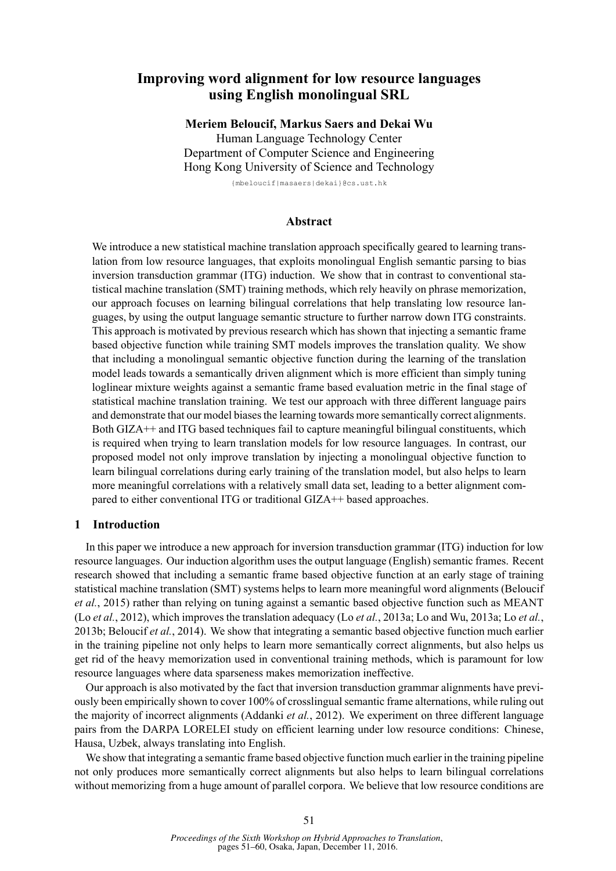# **Improving word alignment for low resource languages using English monolingual SRL**

**Meriem Beloucif, Markus Saers and Dekai Wu** Human Language Technology Center Department of Computer Science and Engineering Hong Kong University of Science and Technology

{mbeloucif|masaers|dekai}@cs.ust.hk

# **Abstract**

We introduce a new statistical machine translation approach specifically geared to learning translation from low resource languages, that exploits monolingual English semantic parsing to bias inversion transduction grammar (ITG) induction. We show that in contrast to conventional statistical machine translation (SMT) training methods, which rely heavily on phrase memorization, our approach focuses on learning bilingual correlations that help translating low resource languages, by using the output language semantic structure to further narrow down ITG constraints. This approach is motivated by previous research which has shown that injecting a semantic frame based objective function while training SMT models improves the translation quality. We show that including a monolingual semantic objective function during the learning of the translation model leads towards a semantically driven alignment which is more efficient than simply tuning loglinear mixture weights against a semantic frame based evaluation metric in the final stage of statistical machine translation training. We test our approach with three different language pairs and demonstrate that our model biases the learning towards more semantically correct alignments. Both GIZA<sup>++</sup> and ITG based techniques fail to capture meaningful bilingual constituents, which is required when trying to learn translation models for low resource languages. In contrast, our proposed model not only improve translation by injecting a monolingual objective function to learn bilingual correlations during early training of the translation model, but also helps to learn more meaningful correlations with a relatively small data set, leading to a better alignment compared to either conventional ITG or traditional GIZA++ based approaches.

## **1 Introduction**

In this paper we introduce a new approach for inversion transduction grammar (ITG) induction for low resource languages. Our induction algorithm uses the output language (English) semantic frames. Recent research showed that including a semantic frame based objective function at an early stage of training statistical machine translation (SMT) systems helps to learn more meaningful word alignments (Beloucif *et al.*, 2015) rather than relying on tuning against a semantic based objective function such as MEANT (Lo *et al.*, 2012), which improves the translation adequacy (Lo *et al.*, 2013a; Lo and Wu, 2013a; Lo *et al.*, 2013b; Beloucif *et al.*, 2014). We show that integrating a semantic based objective function much earlier in the training pipeline not only helps to learn more semantically correct alignments, but also helps us get rid of the heavy memorization used in conventional training methods, which is paramount for low resource languages where data sparseness makes memorization ineffective.

Our approach is also motivated by the fact that inversion transduction grammar alignments have previously been empirically shown to cover 100% of crosslingual semantic frame alternations, while ruling out the majority of incorrect alignments (Addanki *et al.*, 2012). We experiment on three different language pairs from the DARPA LORELEI study on efficient learning under low resource conditions: Chinese, Hausa, Uzbek, always translating into English.

We show that integrating a semantic frame based objective function much earlier in the training pipeline not only produces more semantically correct alignments but also helps to learn bilingual correlations without memorizing from a huge amount of parallel corpora. We believe that low resource conditions are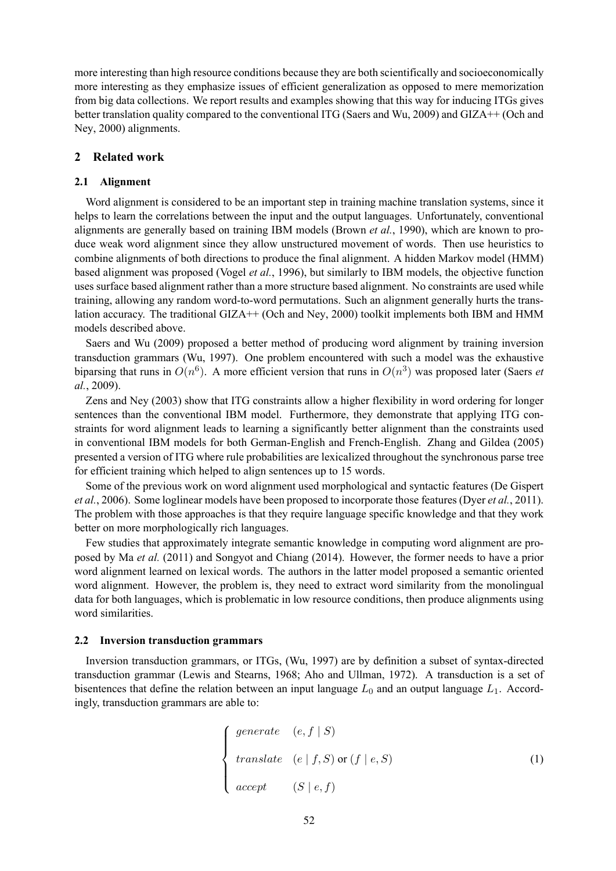more interesting than high resource conditions because they are both scientifically and socioeconomically more interesting as they emphasize issues of efficient generalization as opposed to mere memorization from big data collections. We report results and examples showing that this way for inducing ITGs gives better translation quality compared to the conventional ITG (Saers and Wu, 2009) and GIZA++ (Och and Ney, 2000) alignments.

# **2 Related work**

#### **2.1 Alignment**

Word alignment is considered to be an important step in training machine translation systems, since it helps to learn the correlations between the input and the output languages. Unfortunately, conventional alignments are generally based on training IBM models (Brown *et al.*, 1990), which are known to produce weak word alignment since they allow unstructured movement of words. Then use heuristics to combine alignments of both directions to produce the final alignment. A hidden Markov model (HMM) based alignment was proposed (Vogel *et al.*, 1996), but similarly to IBM models, the objective function uses surface based alignment rather than a more structure based alignment. No constraints are used while training, allowing any random word-to-word permutations. Such an alignment generally hurts the translation accuracy. The traditional GIZA++ (Och and Ney, 2000) toolkit implements both IBM and HMM models described above.

Saers and Wu (2009) proposed a better method of producing word alignment by training inversion transduction grammars (Wu, 1997). One problem encountered with such a model was the exhaustive biparsing that runs in  $O(n^6)$ . A more efficient version that runs in  $O(n^3)$  was proposed later (Saers *et al.*, 2009).

Zens and Ney (2003) show that ITG constraints allow a higher flexibility in word ordering for longer sentences than the conventional IBM model. Furthermore, they demonstrate that applying ITG constraints for word alignment leads to learning a significantly better alignment than the constraints used in conventional IBM models for both German-English and French-English. Zhang and Gildea (2005) presented a version of ITG where rule probabilities are lexicalized throughout the synchronous parse tree for efficient training which helped to align sentences up to 15 words.

Some of the previous work on word alignment used morphological and syntactic features (De Gispert *et al.*, 2006). Some loglinear models have been proposed to incorporate those features (Dyer *et al.*, 2011). The problem with those approaches is that they require language specific knowledge and that they work better on more morphologically rich languages.

Few studies that approximately integrate semantic knowledge in computing word alignment are proposed by Ma *et al.* (2011) and Songyot and Chiang (2014). However, the former needs to have a prior word alignment learned on lexical words. The authors in the latter model proposed a semantic oriented word alignment. However, the problem is, they need to extract word similarity from the monolingual data for both languages, which is problematic in low resource conditions, then produce alignments using word similarities.

### **2.2 Inversion transduction grammars**

Inversion transduction grammars, or ITGs, (Wu, 1997) are by definition a subset of syntax-directed transduction grammar (Lewis and Stearns, 1968; Aho and Ullman, 1972). A transduction is a set of bisentences that define the relation between an input language  $L_0$  and an output language  $L_1$ . Accordingly, transduction grammars are able to:

$$
\begin{cases}\n\text{generate} & (e, f \mid S) \\
\text{translate} & (e \mid f, S) \text{ or } (f \mid e, S) \\
\text{accept} & (S \mid e, f)\n\end{cases}\n\tag{1}
$$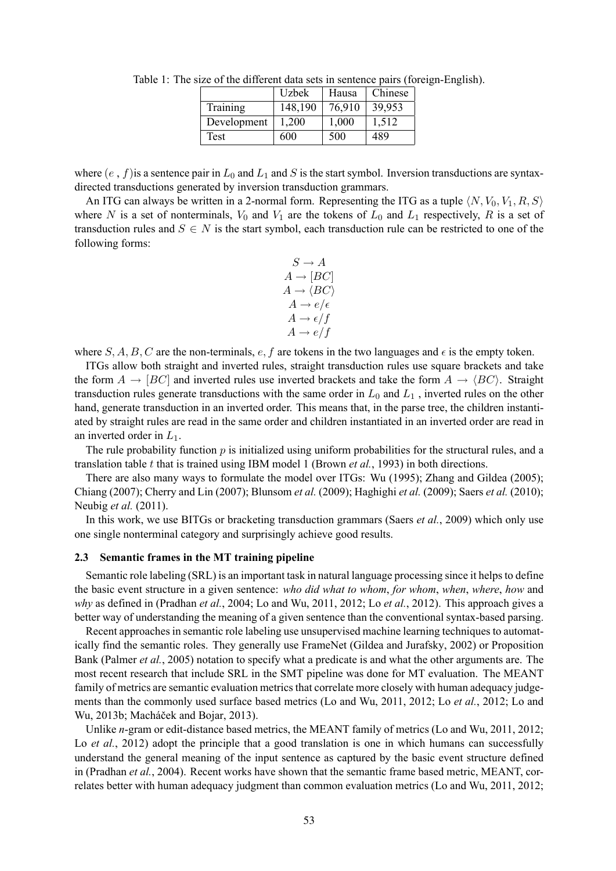|             | Uzbek   | Hausa  | Chinese |
|-------------|---------|--------|---------|
| Training    | 148,190 | 76,910 | 39,953  |
| Development | 1,200   | 1,000  | 1,512   |
| Test        | 600     | 500    | 489     |

Table 1: The size of the different data sets in sentence pairs (foreign-English).

where  $(e, f)$  is a sentence pair in  $L_0$  and  $L_1$  and S is the start symbol. Inversion transductions are syntaxdirected transductions generated by inversion transduction grammars.

An ITG can always be written in a 2-normal form. Representing the ITG as a tuple  $\langle N, V_0, V_1, R, S \rangle$ where N is a set of nonterminals,  $V_0$  and  $V_1$  are the tokens of  $L_0$  and  $L_1$  respectively, R is a set of transduction rules and  $S \in N$  is the start symbol, each transduction rule can be restricted to one of the following forms:

$$
S \to A
$$
  
\n
$$
A \to [BC]
$$
  
\n
$$
A \to \langle BC \rangle
$$
  
\n
$$
A \to e/\epsilon
$$
  
\n
$$
A \to e/f
$$
  
\n
$$
A \to e/f
$$

where S, A, B, C are the non-terminals, e, f are tokens in the two languages and  $\epsilon$  is the empty token.

ITGs allow both straight and inverted rules, straight transduction rules use square brackets and take the form  $A \rightarrow [BC]$  and inverted rules use inverted brackets and take the form  $A \rightarrow \langle BC \rangle$ . Straight transduction rules generate transductions with the same order in  $L_0$  and  $L_1$ , inverted rules on the other hand, generate transduction in an inverted order. This means that, in the parse tree, the children instantiated by straight rules are read in the same order and children instantiated in an inverted order are read in an inverted order in  $L_1$ .

The rule probability function  $p$  is initialized using uniform probabilities for the structural rules, and a translation table t that is trained using IBM model 1 (Brown *et al.*, 1993) in both directions.

There are also many ways to formulate the model over ITGs: Wu (1995); Zhang and Gildea (2005); Chiang (2007); Cherry and Lin (2007); Blunsom *et al.* (2009); Haghighi *et al.* (2009); Saers *et al.* (2010); Neubig *et al.* (2011).

In this work, we use BITGs or bracketing transduction grammars (Saers *et al.*, 2009) which only use one single nonterminal category and surprisingly achieve good results.

#### **2.3 Semantic frames in the MT training pipeline**

Semantic role labeling (SRL) is an important task in natural language processing since it helps to define the basic event structure in a given sentence: *who did what to whom*, *for whom*, *when*, *where*, *how* and *why* as defined in (Pradhan *et al.*, 2004; Lo and Wu, 2011, 2012; Lo *et al.*, 2012). This approach gives a better way of understanding the meaning of a given sentence than the conventional syntax-based parsing.

Recent approaches in semantic role labeling use unsupervised machine learning techniques to automatically find the semantic roles. They generally use FrameNet (Gildea and Jurafsky, 2002) or Proposition Bank (Palmer *et al.*, 2005) notation to specify what a predicate is and what the other arguments are. The most recent research that include SRL in the SMT pipeline was done for MT evaluation. The MEANT family of metrics are semantic evaluation metrics that correlate more closely with human adequacy judgements than the commonly used surface based metrics (Lo and Wu, 2011, 2012; Lo *et al.*, 2012; Lo and Wu, 2013b; Macháček and Bojar, 2013).

Unlike *n*-gram or edit-distance based metrics, the MEANT family of metrics (Lo and Wu, 2011, 2012; Lo *et al.*, 2012) adopt the principle that a good translation is one in which humans can successfully understand the general meaning of the input sentence as captured by the basic event structure defined in (Pradhan *et al.*, 2004). Recent works have shown that the semantic frame based metric, MEANT, correlates better with human adequacy judgment than common evaluation metrics (Lo and Wu, 2011, 2012;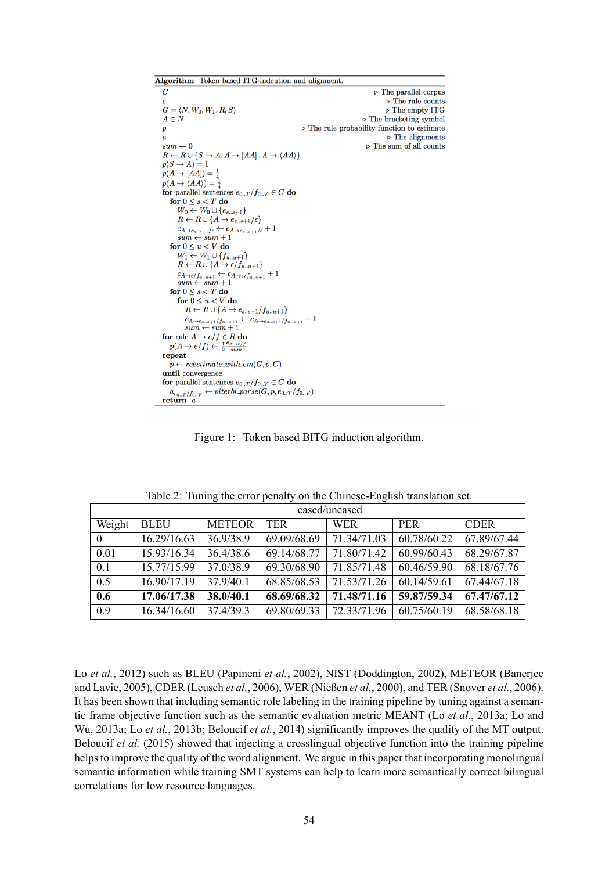Algorithm Token based ITG-indcution and alignment.  $\overline{C}$  $\triangleright$  The parallel corpus  $\triangleright$  The rule counts  $G = \langle N, W_0, W_1, R, S \rangle$  $\triangleright$  The empty ITG  $\triangleright$  The bracketing symbol  $A \in N$  $\boldsymbol{p}$  $\triangleright$  The rule probability function to estimate  $\triangleright$  The alignments  $\boldsymbol{a}$  $\triangleright$  The sum of all counts  $sum \leftarrow 0$  $R \leftarrow R \cup \{S \rightarrow A, A \rightarrow [AA], A \rightarrow \langle AA \rangle\}$  $p(S \rightarrow A) = 1$  $p(A \rightarrow [AA]) = \frac{1}{4}$  $p(A \rightarrow \langle AA \rangle) = \frac{1}{2}$ for parallel sentences  $e_{0,T}/f_{0,N} \in C$  do for  $0 \leq s \leq T$  do  $W_0 \leftarrow W_0 \cup \{e_{s..s+1}\}$  $R \leftarrow R \cup \{A \rightarrow e_{s..s+1}/\epsilon\}$  $c_{A \to e_{s..s+1}/\epsilon}$ <br>  $c_{A \to e_{s..s+1}/\epsilon} \leftarrow c_{A \to e_{s..s+1}/\epsilon} + 1$ <br>  $sum \leftarrow sum + 1$ for  $0 \leq u \lt V$  do  $W_1 \leftarrow W_1 \cup \{f_{u..u+1}\}$  $R \leftarrow R \cup \{A \rightarrow \epsilon / f_{u..u+1}\}$  $c_{A \rightarrow \epsilon / f_{u..u+1}} \leftarrow c_{A \rightarrow \epsilon / f_{u..u+1}} + 1$  $sum \leftarrow sum + 1$ for  $0 \leq s < T$  do for  $0 \leq u < V$  do  $R \leftarrow R \cup \{A \rightarrow e_{s..s+1}/f_{u..u+1}\}$  $c_{A\rightarrow e_{s..s+1}/f_{u..u+1}}$   $\leftarrow$   $c_{A\rightarrow e_{s..s+1}/f_{u..u+1}}$  + 1<br>sum  $\leftarrow$  sum + 1 for rule  $A \rightarrow e/f \in R$  do  $p(A \to e/f) \leftarrow \frac{1}{2} \frac{c_{A \to e/f}}{sum}$ repeat  $p \leftarrow \textit{reestimate\_with\_em}(G, p, C)$ until convergence for parallel sentences  $e_{0..T}/f_{0..V} \in C$  do  $a_{e_{0..T}/f_{0..V}} \leftarrow viterbi\_parse(G, p, e_{0..T}/f_{0..V})$ return  $a$ 

Figure 1: Token based BITG induction algorithm.

|                  | cased/uncased |               |             |             |             |             |  |
|------------------|---------------|---------------|-------------|-------------|-------------|-------------|--|
| Weight           | <b>BLEU</b>   | <b>METEOR</b> | <b>TER</b>  | <b>WER</b>  | <b>PER</b>  | <b>CDER</b> |  |
| $\overline{0}$   | 16.29/16.63   | 36.9/38.9     | 69.09/68.69 | 71.34/71.03 | 60.78/60.22 | 67.89/67.44 |  |
| 0.01             | 15.93/16.34   | 36.4/38.6     | 69.14/68.77 | 71.80/71.42 | 60.99/60.43 | 68.29/67.87 |  |
| 0.1              | 15.77/15.99   | 37.0/38.9     | 69.30/68.90 | 71.85/71.48 | 60.46/59.90 | 68.18/67.76 |  |
| $\overline{0.5}$ | 16.90/17.19   | 37.9/40.1     | 68.85/68.53 | 71.53/71.26 | 60.14/59.61 | 67.44/67.18 |  |
| 0.6              | 17.06/17.38   | 38.0/40.1     | 68.69/68.32 | 71.48/71.16 | 59.87/59.34 | 67.47/67.12 |  |
| 0.9              | 16.34/16.60   | 37.4/39.3     | 69.80/69.33 | 72.33/71.96 | 60.75/60.19 | 68.58/68.18 |  |

Table 2: Tuning the error penalty on the Chinese-English translation set.

Lo *et al.*, 2012) such as BLEU (Papineni *et al.*, 2002), NIST (Doddington, 2002), METEOR (Banerjee and Lavie, 2005), CDER (Leusch *et al.*, 2006), WER (Nießen *et al.*, 2000), and TER (Snover *et al.*, 2006). It has been shown that including semantic role labeling in the training pipeline by tuning against a semantic frame objective function such as the semantic evaluation metric MEANT (Lo *et al.*, 2013a; Lo and Wu, 2013a; Lo *et al.*, 2013b; Beloucif *et al.*, 2014) significantly improves the quality of the MT output. Beloucif *et al.* (2015) showed that injecting a crosslingual objective function into the training pipeline helps to improve the quality of the word alignment. We argue in this paper that incorporating monolingual semantic information while training SMT systems can help to learn more semantically correct bilingual correlations for low resource languages.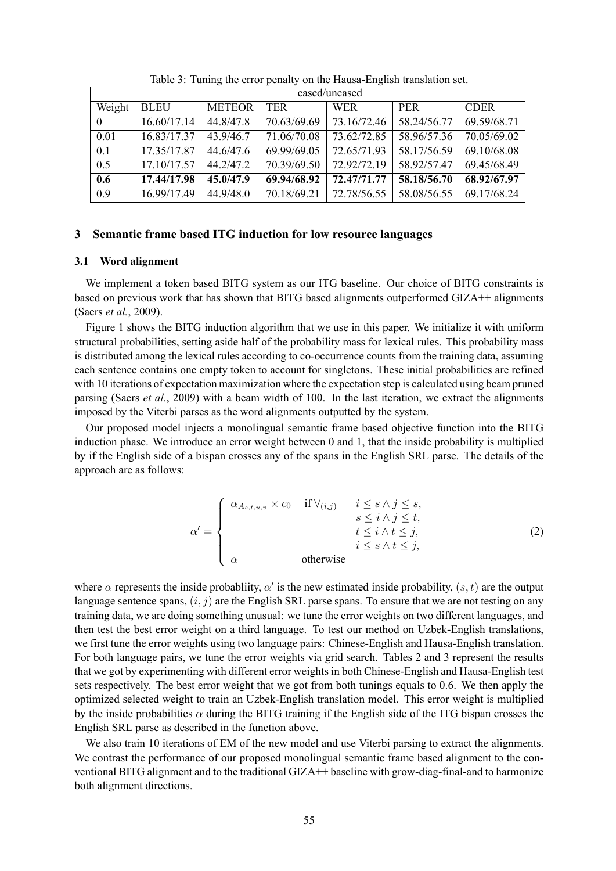|                | cased/uncased |               |             |             |             |             |  |
|----------------|---------------|---------------|-------------|-------------|-------------|-------------|--|
| Weight         | <b>BLEU</b>   | <b>METEOR</b> | TER         | <b>WER</b>  | <b>PER</b>  | <b>CDER</b> |  |
| $\overline{0}$ | 16.60/17.14   | 44.8/47.8     | 70.63/69.69 | 73.16/72.46 | 58.24/56.77 | 69.59/68.71 |  |
| 0.01           | 16.83/17.37   | 43.9/46.7     | 71.06/70.08 | 73.62/72.85 | 58.96/57.36 | 70.05/69.02 |  |
| 0.1            | 17.35/17.87   | 44.6/47.6     | 69.99/69.05 | 72.65/71.93 | 58.17/56.59 | 69.10/68.08 |  |
| 0.5            | 17.10/17.57   | 44.2/47.2     | 70.39/69.50 | 72.92/72.19 | 58.92/57.47 | 69.45/68.49 |  |
| 0.6            | 17.44/17.98   | 45.0/47.9     | 69.94/68.92 | 72.47/71.77 | 58.18/56.70 | 68.92/67.97 |  |
| 0.9            | 16.99/17.49   | 44.9/48.0     | 70.18/69.21 | 72.78/56.55 | 58.08/56.55 | 69.17/68.24 |  |

Table 3: Tuning the error penalty on the Hausa-English translation set.

# **3 Semantic frame based ITG induction for low resource languages**

#### **3.1 Word alignment**

We implement a token based BITG system as our ITG baseline. Our choice of BITG constraints is based on previous work that has shown that BITG based alignments outperformed GIZA++ alignments (Saers *et al.*, 2009).

Figure 1 shows the BITG induction algorithm that we use in this paper. We initialize it with uniform structural probabilities, setting aside half of the probability mass for lexical rules. This probability mass is distributed among the lexical rules according to co-occurrence counts from the training data, assuming each sentence contains one empty token to account for singletons. These initial probabilities are refined with 10 iterations of expectation maximization where the expectation step is calculated using beam pruned parsing (Saers *et al.*, 2009) with a beam width of 100. In the last iteration, we extract the alignments imposed by the Viterbi parses as the word alignments outputted by the system.

Our proposed model injects a monolingual semantic frame based objective function into the BITG induction phase. We introduce an error weight between 0 and 1, that the inside probability is multiplied by if the English side of a bispan crosses any of the spans in the English SRL parse. The details of the approach are as follows:

$$
\alpha' = \begin{cases}\n\alpha_{A_{s,t,u,v}} \times c_0 & \text{if } \forall_{(i,j)} & i \leq s \land j \leq s, \\
s \leq i \land j \leq t, \\
t \leq i \land t \leq j, \\
\alpha & \text{otherwise}\n\end{cases} \tag{2}
$$

where  $\alpha$  represents the inside probabliity,  $\alpha'$  is the new estimated inside probability,  $(s, t)$  are the output language sentence spans,  $(i, j)$  are the English SRL parse spans. To ensure that we are not testing on any training data, we are doing something unusual: we tune the error weights on two different languages, and then test the best error weight on a third language. To test our method on Uzbek-English translations, we first tune the error weights using two language pairs: Chinese-English and Hausa-English translation. For both language pairs, we tune the error weights via grid search. Tables 2 and 3 represent the results that we got by experimenting with different error weights in both Chinese-English and Hausa-English test sets respectively. The best error weight that we got from both tunings equals to 0.6. We then apply the optimized selected weight to train an Uzbek-English translation model. This error weight is multiplied by the inside probabilities  $\alpha$  during the BITG training if the English side of the ITG bispan crosses the English SRL parse as described in the function above.

We also train 10 iterations of EM of the new model and use Viterbi parsing to extract the alignments. We contrast the performance of our proposed monolingual semantic frame based alignment to the conventional BITG alignment and to the traditional GIZA++ baseline with grow-diag-final-and to harmonize both alignment directions.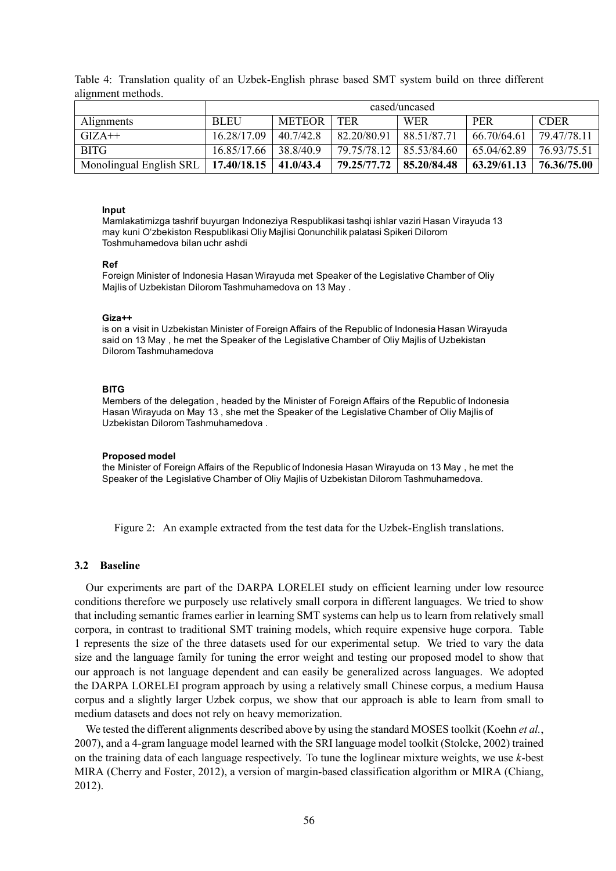Table 4: Translation quality of an Uzbek-English phrase based SMT system build on three different alignment methods.

|                                                   | cased/uncased |           |                           |                           |             |             |
|---------------------------------------------------|---------------|-----------|---------------------------|---------------------------|-------------|-------------|
| Alignments                                        | <b>BLEU</b>   | METEOR    | <b>TER</b>                | <b>WER</b>                | <b>PER</b>  | <b>CDER</b> |
| $GIZA++$                                          | 16 28/17 09   | 40.7/42.8 | 82 20/80 91               | 88 51/87 71               | 66.70/64.61 | 79 47/78 11 |
| <b>BITG</b>                                       | 16.85/17.66   | 38 8/40 9 |                           | 79.75/78.12   85.53/84.60 | 65.04/62.89 | 76 93/75 51 |
| Monolingual English SRL   17.40/18.15   41.0/43.4 |               |           | 79.25/77.72   85.20/84.48 |                           | 63.29/61.13 | 76.36/75.00 |

#### **Input**

Mamlakatimizga tashrif buyurgan Indoneziya Respublikasi tashqi ishlar vaziri Hasan Virayuda 13 may kuni Oʻzbekiston Respublikasi Oliy Majlisi Qonunchilik palatasi Spikeri Dilorom Toshmuhamedova bilan uchr ashdi

#### **Ref**

Foreign Minister of Indonesia Hasan Wirayuda met Speaker of the Legislative Chamber of Oliy Majlis of Uzbekistan Dilorom Tashmuhamedova on 13 May .

#### **Giza++**

is on a visit in Uzbekistan Minister of Foreign Affairs of the Republic of Indonesia Hasan Wirayuda said on 13 May , he met the Speaker of the Legislative Chamber of Oliy Majlis of Uzbekistan Dilorom Tashmuhamedova

#### **BITG**

Members of the delegation , headed by the Minister of Foreign Affairs of the Republic of Indonesia Hasan Wirayuda on May 13 , she met the Speaker of the Legislative Chamber of Oliy Majlis of Uzbekistan Dilorom Tashmuhamedova .

#### **Proposed model**

the Minister of Foreign Affairs of the Republic of Indonesia Hasan Wirayuda on 13 May , he met the Speaker of the Legislative Chamber of Oliy Majlis of Uzbekistan Dilorom Tashmuhamedova.

Figure 2: An example extracted from the test data for the Uzbek-English translations.

#### **3.2 Baseline**

Our experiments are part of the DARPA LORELEI study on efficient learning under low resource conditions therefore we purposely use relatively small corpora in different languages. We tried to show that including semantic frames earlier in learning SMT systems can help us to learn from relatively small corpora, in contrast to traditional SMT training models, which require expensive huge corpora. Table 1 represents the size of the three datasets used for our experimental setup. We tried to vary the data size and the language family for tuning the error weight and testing our proposed model to show that our approach is not language dependent and can easily be generalized across languages. We adopted the DARPA LORELEI program approach by using a relatively small Chinese corpus, a medium Hausa corpus and a slightly larger Uzbek corpus, we show that our approach is able to learn from small to medium datasets and does not rely on heavy memorization.

We tested the different alignments described above by using the standard MOSES toolkit (Koehn *et al.*, 2007), and a 4-gram language model learned with the SRI language model toolkit (Stolcke, 2002) trained on the training data of each language respectively. To tune the loglinear mixture weights, we use *k*-best MIRA (Cherry and Foster, 2012), a version of margin-based classification algorithm or MIRA (Chiang, 2012).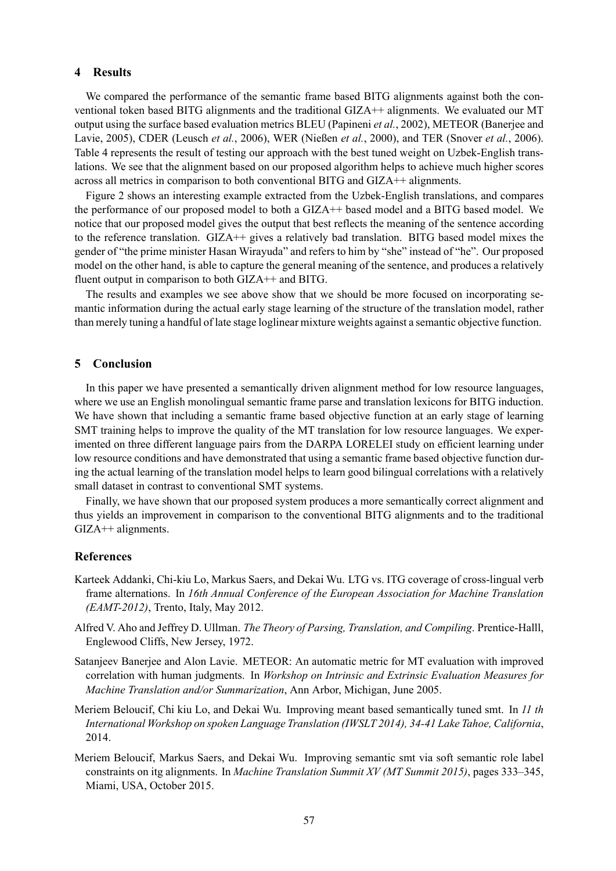#### **4 Results**

We compared the performance of the semantic frame based BITG alignments against both the conventional token based BITG alignments and the traditional GIZA++ alignments. We evaluated our MT output using the surface based evaluation metrics BLEU (Papineni *et al.*, 2002), METEOR (Banerjee and Lavie, 2005), CDER (Leusch *et al.*, 2006), WER (Nießen *et al.*, 2000), and TER (Snover *et al.*, 2006). Table 4 represents the result of testing our approach with the best tuned weight on Uzbek-English translations. We see that the alignment based on our proposed algorithm helps to achieve much higher scores across all metrics in comparison to both conventional BITG and GIZA++ alignments.

Figure 2 shows an interesting example extracted from the Uzbek-English translations, and compares the performance of our proposed model to both a GIZA++ based model and a BITG based model. We notice that our proposed model gives the output that best reflects the meaning of the sentence according to the reference translation. GIZA++ gives a relatively bad translation. BITG based model mixes the gender of "the prime minister Hasan Wirayuda" and refers to him by "she" instead of "he". Our proposed model on the other hand, is able to capture the general meaning of the sentence, and produces a relatively fluent output in comparison to both GIZA++ and BITG.

The results and examples we see above show that we should be more focused on incorporating semantic information during the actual early stage learning of the structure of the translation model, rather than merely tuning a handful of late stage loglinear mixture weights against a semantic objective function.

# **5 Conclusion**

In this paper we have presented a semantically driven alignment method for low resource languages, where we use an English monolingual semantic frame parse and translation lexicons for BITG induction. We have shown that including a semantic frame based objective function at an early stage of learning SMT training helps to improve the quality of the MT translation for low resource languages. We experimented on three different language pairs from the DARPA LORELEI study on efficient learning under low resource conditions and have demonstrated that using a semantic frame based objective function during the actual learning of the translation model helps to learn good bilingual correlations with a relatively small dataset in contrast to conventional SMT systems.

Finally, we have shown that our proposed system produces a more semantically correct alignment and thus yields an improvement in comparison to the conventional BITG alignments and to the traditional GIZA++ alignments.

#### **References**

- Karteek Addanki, Chi-kiu Lo, Markus Saers, and Dekai Wu. LTG vs. ITG coverage of cross-lingual verb frame alternations. In *16th Annual Conference of the European Association for Machine Translation (EAMT-2012)*, Trento, Italy, May 2012.
- Alfred V. Aho and Jeffrey D. Ullman. *The Theory of Parsing, Translation, and Compiling*. Prentice-Halll, Englewood Cliffs, New Jersey, 1972.
- Satanjeev Banerjee and Alon Lavie. METEOR: An automatic metric for MT evaluation with improved correlation with human judgments. In *Workshop on Intrinsic and Extrinsic Evaluation Measures for Machine Translation and/or Summarization*, Ann Arbor, Michigan, June 2005.
- Meriem Beloucif, Chi kiu Lo, and Dekai Wu. Improving meant based semantically tuned smt. In *11 th International Workshop on spoken Language Translation (IWSLT 2014), 34-41 Lake Tahoe, California*, 2014.
- Meriem Beloucif, Markus Saers, and Dekai Wu. Improving semantic smt via soft semantic role label constraints on itg alignments. In *Machine Translation Summit XV (MT Summit 2015)*, pages 333–345, Miami, USA, October 2015.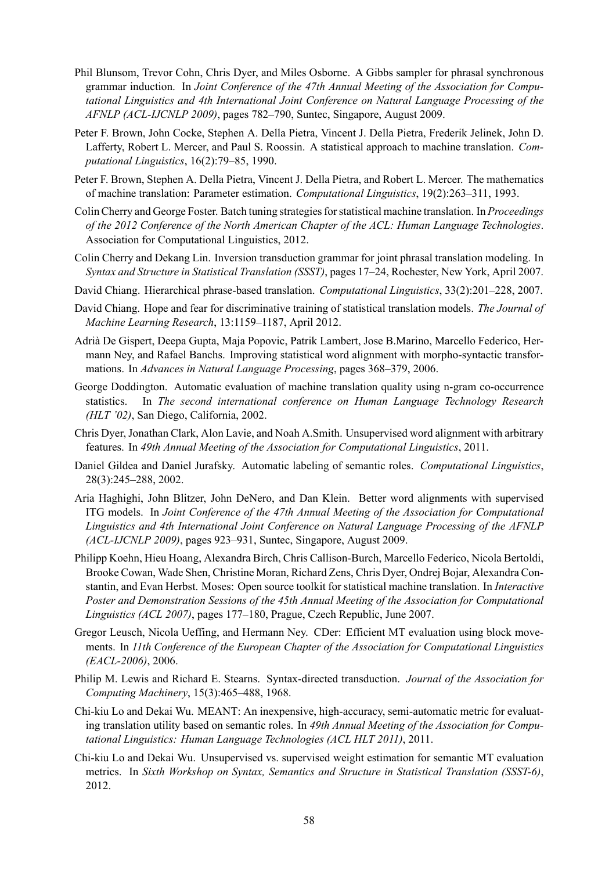- Phil Blunsom, Trevor Cohn, Chris Dyer, and Miles Osborne. A Gibbs sampler for phrasal synchronous grammar induction. In *Joint Conference of the 47th Annual Meeting of the Association for Computational Linguistics and 4th International Joint Conference on Natural Language Processing of the AFNLP (ACL-IJCNLP 2009)*, pages 782–790, Suntec, Singapore, August 2009.
- Peter F. Brown, John Cocke, Stephen A. Della Pietra, Vincent J. Della Pietra, Frederik Jelinek, John D. Lafferty, Robert L. Mercer, and Paul S. Roossin. A statistical approach to machine translation. *Computational Linguistics*, 16(2):79–85, 1990.
- Peter F. Brown, Stephen A. Della Pietra, Vincent J. Della Pietra, and Robert L. Mercer. The mathematics of machine translation: Parameter estimation. *Computational Linguistics*, 19(2):263–311, 1993.
- Colin Cherry and George Foster. Batch tuning strategies for statistical machine translation. In *Proceedings of the 2012 Conference of the North American Chapter of the ACL: Human Language Technologies*. Association for Computational Linguistics, 2012.
- Colin Cherry and Dekang Lin. Inversion transduction grammar for joint phrasal translation modeling. In *Syntax and Structure in Statistical Translation (SSST)*, pages 17–24, Rochester, New York, April 2007.
- David Chiang. Hierarchical phrase-based translation. *Computational Linguistics*, 33(2):201–228, 2007.
- David Chiang. Hope and fear for discriminative training of statistical translation models. *The Journal of Machine Learning Research*, 13:1159–1187, April 2012.
- Adrià De Gispert, Deepa Gupta, Maja Popovic, Patrik Lambert, Jose B.Marino, Marcello Federico, Hermann Ney, and Rafael Banchs. Improving statistical word alignment with morpho-syntactic transformations. In *Advances in Natural Language Processing*, pages 368–379, 2006.
- George Doddington. Automatic evaluation of machine translation quality using n-gram co-occurrence statistics. In *The second international conference on Human Language Technology Research (HLT '02)*, San Diego, California, 2002.
- Chris Dyer, Jonathan Clark, Alon Lavie, and Noah A.Smith. Unsupervised word alignment with arbitrary features. In *49th Annual Meeting of the Association for Computational Linguistics*, 2011.
- Daniel Gildea and Daniel Jurafsky. Automatic labeling of semantic roles. *Computational Linguistics*, 28(3):245–288, 2002.
- Aria Haghighi, John Blitzer, John DeNero, and Dan Klein. Better word alignments with supervised ITG models. In *Joint Conference of the 47th Annual Meeting of the Association for Computational Linguistics and 4th International Joint Conference on Natural Language Processing of the AFNLP (ACL-IJCNLP 2009)*, pages 923–931, Suntec, Singapore, August 2009.
- Philipp Koehn, Hieu Hoang, Alexandra Birch, Chris Callison-Burch, Marcello Federico, Nicola Bertoldi, Brooke Cowan, Wade Shen, Christine Moran, Richard Zens, Chris Dyer, Ondrej Bojar, Alexandra Constantin, and Evan Herbst. Moses: Open source toolkit for statistical machine translation. In *Interactive Poster and Demonstration Sessions of the 45th Annual Meeting of the Association for Computational Linguistics (ACL 2007)*, pages 177–180, Prague, Czech Republic, June 2007.
- Gregor Leusch, Nicola Ueffing, and Hermann Ney. CDer: Efficient MT evaluation using block movements. In *11th Conference of the European Chapter of the Association for Computational Linguistics (EACL-2006)*, 2006.
- Philip M. Lewis and Richard E. Stearns. Syntax-directed transduction. *Journal of the Association for Computing Machinery*, 15(3):465–488, 1968.
- Chi-kiu Lo and Dekai Wu. MEANT: An inexpensive, high-accuracy, semi-automatic metric for evaluating translation utility based on semantic roles. In *49th Annual Meeting of the Association for Computational Linguistics: Human Language Technologies (ACL HLT 2011)*, 2011.
- Chi-kiu Lo and Dekai Wu. Unsupervised vs. supervised weight estimation for semantic MT evaluation metrics. In *Sixth Workshop on Syntax, Semantics and Structure in Statistical Translation (SSST-6)*, 2012.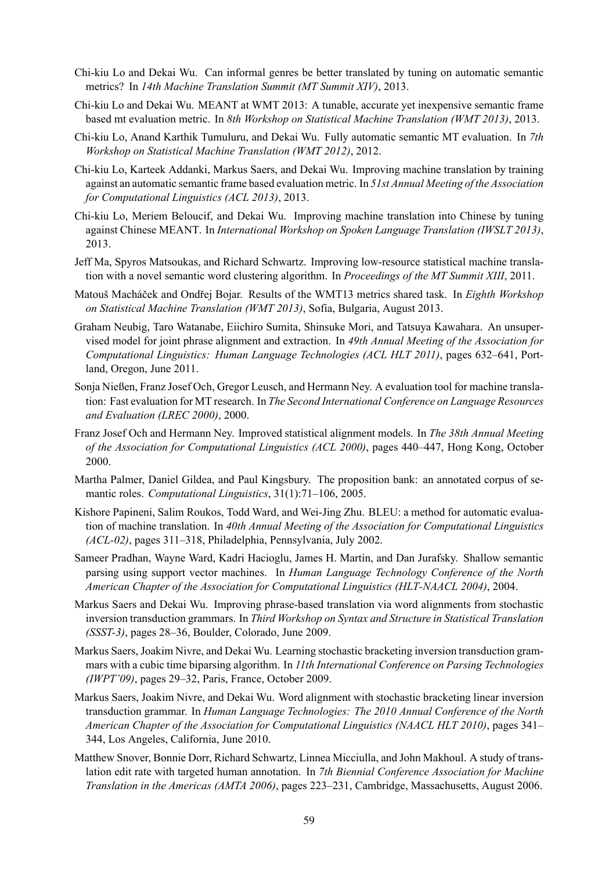- Chi-kiu Lo and Dekai Wu. Can informal genres be better translated by tuning on automatic semantic metrics? In *14th Machine Translation Summit (MT Summit XIV)*, 2013.
- Chi-kiu Lo and Dekai Wu. MEANT at WMT 2013: A tunable, accurate yet inexpensive semantic frame based mt evaluation metric. In *8th Workshop on Statistical Machine Translation (WMT 2013)*, 2013.
- Chi-kiu Lo, Anand Karthik Tumuluru, and Dekai Wu. Fully automatic semantic MT evaluation. In *7th Workshop on Statistical Machine Translation (WMT 2012)*, 2012.
- Chi-kiu Lo, Karteek Addanki, Markus Saers, and Dekai Wu. Improving machine translation by training against an automatic semantic frame based evaluation metric. In *51st Annual Meeting of the Association for Computational Linguistics (ACL 2013)*, 2013.
- Chi-kiu Lo, Meriem Beloucif, and Dekai Wu. Improving machine translation into Chinese by tuning against Chinese MEANT. In *International Workshop on Spoken Language Translation (IWSLT 2013)*, 2013.
- Jeff Ma, Spyros Matsoukas, and Richard Schwartz. Improving low-resource statistical machine translation with a novel semantic word clustering algorithm. In *Proceedings of the MT Summit XIII*, 2011.
- Matouš Macháček and Ondřej Bojar. Results of the WMT13 metrics shared task. In *Eighth Workshop on Statistical Machine Translation (WMT 2013)*, Sofia, Bulgaria, August 2013.
- Graham Neubig, Taro Watanabe, Eiichiro Sumita, Shinsuke Mori, and Tatsuya Kawahara. An unsupervised model for joint phrase alignment and extraction. In *49th Annual Meeting of the Association for Computational Linguistics: Human Language Technologies (ACL HLT 2011)*, pages 632–641, Portland, Oregon, June 2011.
- Sonja Nießen, Franz Josef Och, Gregor Leusch, and Hermann Ney. A evaluation tool for machine translation: Fast evaluation for MT research. In *The Second International Conference on Language Resources and Evaluation (LREC 2000)*, 2000.
- Franz Josef Och and Hermann Ney. Improved statistical alignment models. In *The 38th Annual Meeting of the Association for Computational Linguistics (ACL 2000)*, pages 440–447, Hong Kong, October 2000.
- Martha Palmer, Daniel Gildea, and Paul Kingsbury. The proposition bank: an annotated corpus of semantic roles. *Computational Linguistics*, 31(1):71–106, 2005.
- Kishore Papineni, Salim Roukos, Todd Ward, and Wei-Jing Zhu. BLEU: a method for automatic evaluation of machine translation. In *40th Annual Meeting of the Association for Computational Linguistics (ACL-02)*, pages 311–318, Philadelphia, Pennsylvania, July 2002.
- Sameer Pradhan, Wayne Ward, Kadri Hacioglu, James H. Martin, and Dan Jurafsky. Shallow semantic parsing using support vector machines. In *Human Language Technology Conference of the North American Chapter of the Association for Computational Linguistics (HLT-NAACL 2004)*, 2004.
- Markus Saers and Dekai Wu. Improving phrase-based translation via word alignments from stochastic inversion transduction grammars. In *Third Workshop on Syntax and Structure in Statistical Translation (SSST-3)*, pages 28–36, Boulder, Colorado, June 2009.
- Markus Saers, Joakim Nivre, and Dekai Wu. Learning stochastic bracketing inversion transduction grammars with a cubic time biparsing algorithm. In *11th International Conference on Parsing Technologies (IWPT'09)*, pages 29–32, Paris, France, October 2009.
- Markus Saers, Joakim Nivre, and Dekai Wu. Word alignment with stochastic bracketing linear inversion transduction grammar. In *Human Language Technologies: The 2010 Annual Conference of the North American Chapter of the Association for Computational Linguistics (NAACL HLT 2010)*, pages 341– 344, Los Angeles, California, June 2010.
- Matthew Snover, Bonnie Dorr, Richard Schwartz, Linnea Micciulla, and John Makhoul. A study of translation edit rate with targeted human annotation. In *7th Biennial Conference Association for Machine Translation in the Americas (AMTA 2006)*, pages 223–231, Cambridge, Massachusetts, August 2006.